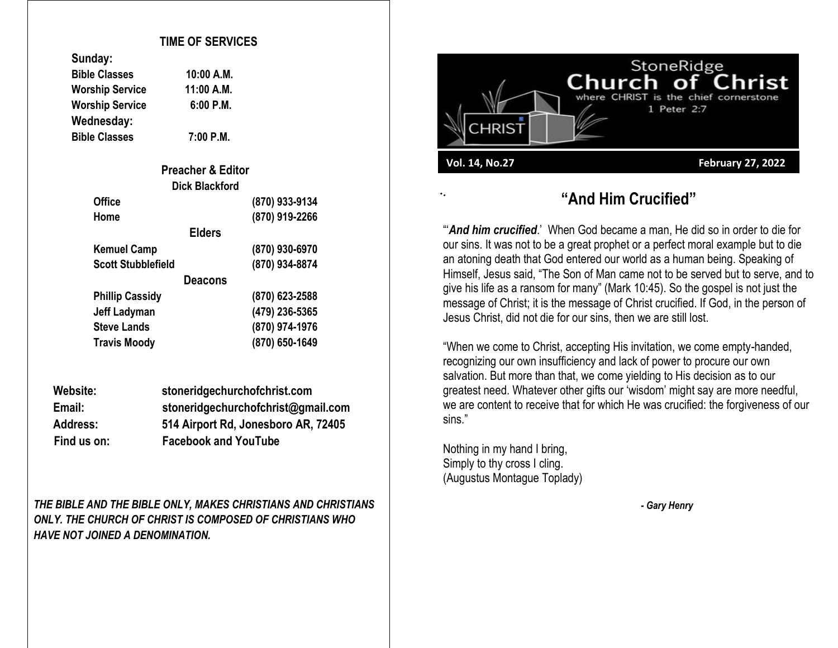## **TIME OF SERVICES**

| Sunday:                |             |
|------------------------|-------------|
| <b>Bible Classes</b>   | 10:00 A.M.  |
| <b>Worship Service</b> | 11:00 A.M.  |
| <b>Worship Service</b> | $6:00$ P.M. |
| Wednesday:             |             |
| <b>Bible Classes</b>   | $7:00$ P.M. |

**Sunday:**

| <b>Preacher &amp; Editor</b> |                |
|------------------------------|----------------|
| Dick Blackford               |                |
| <b>Office</b>                | (870) 933-9134 |
| Home                         | (870) 919-2266 |
| <b>Elders</b>                |                |
| <b>Kemuel Camp</b>           | (870) 930-6970 |
| <b>Scott Stubblefield</b>    | (870) 934-8874 |
| <b>Deacons</b>               |                |
| <b>Phillip Cassidy</b>       | (870) 623-2588 |
| <b>Jeff Ladyman</b>          | (479) 236-5365 |
| <b>Steve Lands</b>           | (870) 974-1976 |
| <b>Travis Moody</b>          | (870) 650-1649 |

| Website:        | stoneridgechurchofchrist.com        |
|-----------------|-------------------------------------|
| Email:          | stoneridgechurchofchrist@gmail.com  |
| <b>Address:</b> | 514 Airport Rd, Jonesboro AR, 72405 |
| Find us on:     | <b>Facebook and YouTube</b>         |

*THE BIBLE AND THE BIBLE ONLY, MAKES CHRISTIANS AND CHRISTIANS ONLY. THE CHURCH OF CHRIST IS COMPOSED OF CHRISTIANS WHO HAVE NOT JOINED A DENOMINATION.*



## **"And Him Crucified"**

"'*And him crucified*.' When God became a man, He did so in order to die for our sins. It was not to be a great prophet or a perfect moral example but to die an atoning death that God entered our world as a human being. Speaking of Himself, Jesus said, "The Son of Man came not to be served but to serve, and to give his life as a ransom for many" (Mark 10:45). So the gospel is not just the message of Christ; it is the message of Christ crucified. If God, in the person of Jesus Christ, did not die for our sins, then we are still lost.

"When we come to Christ, accepting His invitation, we come empty-handed, recognizing our own insufficiency and lack of power to procure our own salvation. But more than that, we come yielding to His decision as to our greatest need. Whatever other gifts our 'wisdom' might say are more needful, we are content to receive that for which He was crucified: the forgiveness of our sins."

Nothing in my hand I bring, Simply to thy cross I cling. (Augustus Montague Toplady)

 $\bullet_\bullet$ 

 *- Gary Henry*